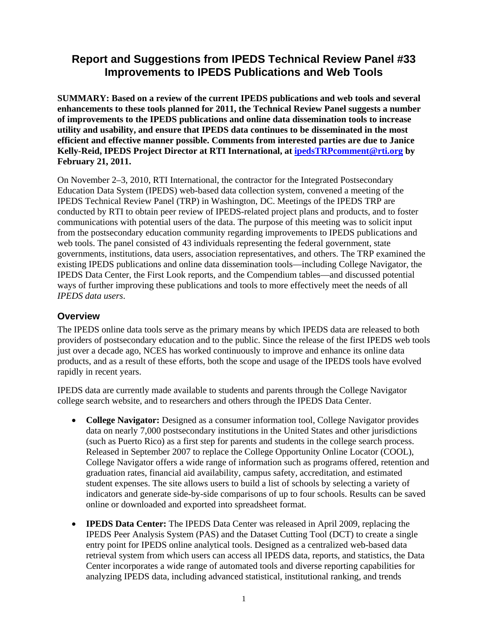# **Report and Suggestions from IPEDS Technical Review Panel #33 Improvements to IPEDS Publications and Web Tools**

**SUMMARY: Based on a review of the current IPEDS publications and web tools and several enhancements to these tools planned for 2011, the Technical Review Panel suggests a number of improvements to the IPEDS publications and online data dissemination tools to increase utility and usability, and ensure that IPEDS data continues to be disseminated in the most efficient and effective manner possible. Comments from interested parties are due to Janice Kelly-Reid, IPEDS Project Director at RTI International, at ipedsTRPcomment@rti.org by February 21, 2011.** 

On November 2–3, 2010, RTI International, the contractor for the Integrated Postsecondary Education Data System (IPEDS) web-based data collection system, convened a meeting of the IPEDS Technical Review Panel (TRP) in Washington, DC. Meetings of the IPEDS TRP are conducted by RTI to obtain peer review of IPEDS-related project plans and products, and to foster communications with potential users of the data. The purpose of this meeting was to solicit input from the postsecondary education community regarding improvements to IPEDS publications and web tools. The panel consisted of 43 individuals representing the federal government, state governments, institutions, data users, association representatives, and others. The TRP examined the existing IPEDS publications and online data dissemination tools—including College Navigator, the IPEDS Data Center, the First Look reports, and the Compendium tables—and discussed potential ways of further improving these publications and tools to more effectively meet the needs of all *IPEDS data users*.

### **Overview**

The IPEDS online data tools serve as the primary means by which IPEDS data are released to both providers of postsecondary education and to the public. Since the release of the first IPEDS web tools just over a decade ago, NCES has worked continuously to improve and enhance its online data products, and as a result of these efforts, both the scope and usage of the IPEDS tools have evolved rapidly in recent years.

IPEDS data are currently made available to students and parents through the College Navigator college search website, and to researchers and others through the IPEDS Data Center.

- **College Navigator:** Designed as a consumer information tool, College Navigator provides data on nearly 7,000 postsecondary institutions in the United States and other jurisdictions (such as Puerto Rico) as a first step for parents and students in the college search process. Released in September 2007 to replace the College Opportunity Online Locator (COOL), College Navigator offers a wide range of information such as programs offered, retention and graduation rates, financial aid availability, campus safety, accreditation, and estimated student expenses. The site allows users to build a list of schools by selecting a variety of indicators and generate side-by-side comparisons of up to four schools. Results can be saved online or downloaded and exported into spreadsheet format.
- **IPEDS Data Center:** The IPEDS Data Center was released in April 2009, replacing the IPEDS Peer Analysis System (PAS) and the Dataset Cutting Tool (DCT) to create a single entry point for IPEDS online analytical tools. Designed as a centralized web-based data retrieval system from which users can access all IPEDS data, reports, and statistics, the Data Center incorporates a wide range of automated tools and diverse reporting capabilities for analyzing IPEDS data, including advanced statistical, institutional ranking, and trends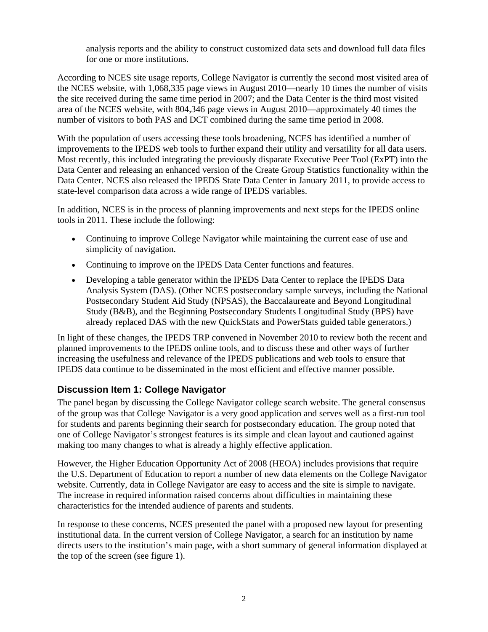analysis reports and the ability to construct customized data sets and download full data files for one or more institutions.

According to NCES site usage reports, College Navigator is currently the second most visited area of the NCES website, with 1,068,335 page views in August 2010—nearly 10 times the number of visits the site received during the same time period in 2007; and the Data Center is the third most visited area of the NCES website, with 804,346 page views in August 2010—approximately 40 times the number of visitors to both PAS and DCT combined during the same time period in 2008.

With the population of users accessing these tools broadening, NCES has identified a number of improvements to the IPEDS web tools to further expand their utility and versatility for all data users. Most recently, this included integrating the previously disparate Executive Peer Tool (ExPT) into the Data Center and releasing an enhanced version of the Create Group Statistics functionality within the Data Center. NCES also released the IPEDS State Data Center in January 2011, to provide access to state-level comparison data across a wide range of IPEDS variables.

In addition, NCES is in the process of planning improvements and next steps for the IPEDS online tools in 2011. These include the following:

- Continuing to improve College Navigator while maintaining the current ease of use and simplicity of navigation.
- Continuing to improve on the IPEDS Data Center functions and features.
- Developing a table generator within the IPEDS Data Center to replace the IPEDS Data Analysis System (DAS). (Other NCES postsecondary sample surveys, including the National Postsecondary Student Aid Study (NPSAS), the Baccalaureate and Beyond Longitudinal Study (B&B), and the Beginning Postsecondary Students Longitudinal Study (BPS) have already replaced DAS with the new QuickStats and PowerStats guided table generators.)

In light of these changes, the IPEDS TRP convened in November 2010 to review both the recent and planned improvements to the IPEDS online tools, and to discuss these and other ways of further increasing the usefulness and relevance of the IPEDS publications and web tools to ensure that IPEDS data continue to be disseminated in the most efficient and effective manner possible.

### **Discussion Item 1: College Navigator**

The panel began by discussing the College Navigator college search website. The general consensus of the group was that College Navigator is a very good application and serves well as a first-run tool for students and parents beginning their search for postsecondary education. The group noted that one of College Navigator's strongest features is its simple and clean layout and cautioned against making too many changes to what is already a highly effective application.

However, the Higher Education Opportunity Act of 2008 (HEOA) includes provisions that require the U.S. Department of Education to report a number of new data elements on the College Navigator website. Currently, data in College Navigator are easy to access and the site is simple to navigate. The increase in required information raised concerns about difficulties in maintaining these characteristics for the intended audience of parents and students.

In response to these concerns, NCES presented the panel with a proposed new layout for presenting institutional data. In the current version of College Navigator, a search for an institution by name directs users to the institution's main page, with a short summary of general information displayed at the top of the screen (see figure 1).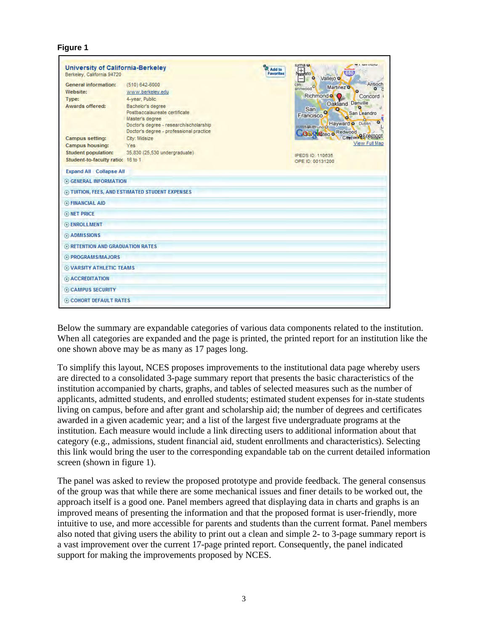#### **Figure 1**

| <b>University of California-Berkeley</b><br>Berkeley, California 94720 |                                                                                                                                                            | <b>Add to</b><br><b>Favorites</b> | <b>CL GILBOR</b><br>luma o<br>$\pm$<br>680<br>serato<br>٠<br>$\circ$<br>Vallejo o                                                                         |
|------------------------------------------------------------------------|------------------------------------------------------------------------------------------------------------------------------------------------------------|-----------------------------------|-----------------------------------------------------------------------------------------------------------------------------------------------------------|
| <b>General information:</b>                                            | (510) 642-6000                                                                                                                                             |                                   | Antioch<br>cas<br>Martinez <sub>o</sub><br>arinwood                                                                                                       |
| Website:                                                               | www.berkeley.edu                                                                                                                                           |                                   |                                                                                                                                                           |
| Type:                                                                  | 4-year, Public                                                                                                                                             |                                   | Richmond <sup>o</sup><br>Concord<br>Oakland Danville                                                                                                      |
| Awards offered:                                                        | Bachelor's degree<br>Postbaccalaureate certificate<br>Master's degree<br>Doctor's degree - research/scholarship<br>Doctor's degree - professional practice |                                   | San<br>$\circ$<br>San Leandro<br>Francisco<br>$\bullet$<br><b>Forms an Bruno of Hayward or Dublin</b><br><b>Galy Mateo o Redwood City and Participant</b> |
| <b>Campus setting:</b>                                                 | City: Midsize                                                                                                                                              |                                   |                                                                                                                                                           |
| <b>Campus housing:</b>                                                 | <b>Yes</b>                                                                                                                                                 |                                   | View Full Map                                                                                                                                             |
| <b>Student population:</b>                                             | 35,830 (25,530 undergraduate)                                                                                                                              |                                   | IPEDS ID: 110635                                                                                                                                          |
| Student-to-faculty ratio: 16 to 1                                      |                                                                                                                                                            |                                   | OPE ID: 00131200                                                                                                                                          |
| <b>Expand All Collapse All</b>                                         |                                                                                                                                                            |                                   |                                                                                                                                                           |
| <b>E GENERAL INFORMATION</b>                                           |                                                                                                                                                            |                                   |                                                                                                                                                           |
|                                                                        | 4 TUITION, FEES, AND ESTIMATED STUDENT EXPENSES                                                                                                            |                                   |                                                                                                                                                           |
| <b>E FINANCIAL AID</b>                                                 |                                                                                                                                                            |                                   |                                                                                                                                                           |
| <b>A NET PRICE</b>                                                     |                                                                                                                                                            |                                   |                                                                                                                                                           |
| <b>ENROLLMENT</b>                                                      |                                                                                                                                                            |                                   |                                                                                                                                                           |
| ADMISSIONS                                                             |                                                                                                                                                            |                                   |                                                                                                                                                           |
| 4 RETENTION AND GRADUATION RATES                                       |                                                                                                                                                            |                                   |                                                                                                                                                           |
| <b>A PROGRAMS/MAJORS</b>                                               |                                                                                                                                                            |                                   |                                                                                                                                                           |
| <b>E VARSITY ATHLETIC TEAMS</b>                                        |                                                                                                                                                            |                                   |                                                                                                                                                           |
| + ACCREDITATION                                                        |                                                                                                                                                            |                                   |                                                                                                                                                           |
| <b>E CAMPUS SECURITY</b>                                               |                                                                                                                                                            |                                   |                                                                                                                                                           |
| <b>E COHORT DEFAULT RATES</b>                                          |                                                                                                                                                            |                                   |                                                                                                                                                           |

Below the summary are expandable categories of various data components related to the institution. When all categories are expanded and the page is printed, the printed report for an institution like the one shown above may be as many as 17 pages long.

To simplify this layout, NCES proposes improvements to the institutional data page whereby users are directed to a consolidated 3-page summary report that presents the basic characteristics of the institution accompanied by charts, graphs, and tables of selected measures such as the number of applicants, admitted students, and enrolled students; estimated student expenses for in-state students living on campus, before and after grant and scholarship aid; the number of degrees and certificates awarded in a given academic year; and a list of the largest five undergraduate programs at the institution. Each measure would include a link directing users to additional information about that category (e.g., admissions, student financial aid, student enrollments and characteristics). Selecting this link would bring the user to the corresponding expandable tab on the current detailed information screen (shown in figure 1).

The panel was asked to review the proposed prototype and provide feedback. The general consensus of the group was that while there are some mechanical issues and finer details to be worked out, the approach itself is a good one. Panel members agreed that displaying data in charts and graphs is an improved means of presenting the information and that the proposed format is user-friendly, more intuitive to use, and more accessible for parents and students than the current format. Panel members also noted that giving users the ability to print out a clean and simple 2- to 3-page summary report is a vast improvement over the current 17-page printed report. Consequently, the panel indicated support for making the improvements proposed by NCES.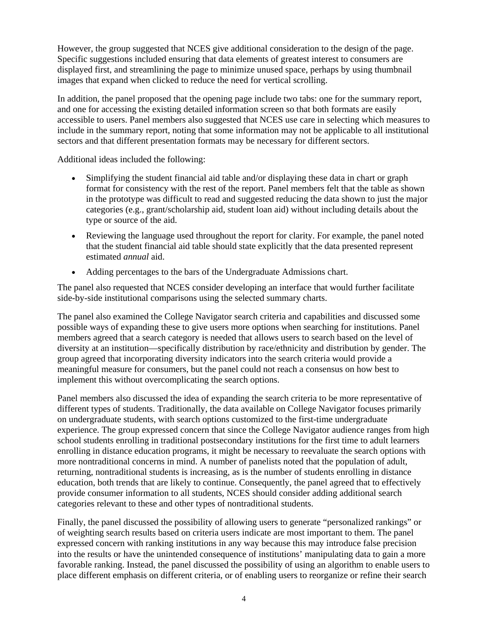However, the group suggested that NCES give additional consideration to the design of the page. Specific suggestions included ensuring that data elements of greatest interest to consumers are displayed first, and streamlining the page to minimize unused space, perhaps by using thumbnail images that expand when clicked to reduce the need for vertical scrolling.

In addition, the panel proposed that the opening page include two tabs: one for the summary report, and one for accessing the existing detailed information screen so that both formats are easily accessible to users. Panel members also suggested that NCES use care in selecting which measures to include in the summary report, noting that some information may not be applicable to all institutional sectors and that different presentation formats may be necessary for different sectors.

Additional ideas included the following:

- Simplifying the student financial aid table and/or displaying these data in chart or graph format for consistency with the rest of the report. Panel members felt that the table as shown in the prototype was difficult to read and suggested reducing the data shown to just the major categories (e.g., grant/scholarship aid, student loan aid) without including details about the type or source of the aid.
- Reviewing the language used throughout the report for clarity. For example, the panel noted that the student financial aid table should state explicitly that the data presented represent estimated *annual* aid.
- Adding percentages to the bars of the Undergraduate Admissions chart.

The panel also requested that NCES consider developing an interface that would further facilitate side-by-side institutional comparisons using the selected summary charts.

The panel also examined the College Navigator search criteria and capabilities and discussed some possible ways of expanding these to give users more options when searching for institutions. Panel members agreed that a search category is needed that allows users to search based on the level of diversity at an institution—specifically distribution by race/ethnicity and distribution by gender. The group agreed that incorporating diversity indicators into the search criteria would provide a meaningful measure for consumers, but the panel could not reach a consensus on how best to implement this without overcomplicating the search options.

Panel members also discussed the idea of expanding the search criteria to be more representative of different types of students. Traditionally, the data available on College Navigator focuses primarily on undergraduate students, with search options customized to the first-time undergraduate experience. The group expressed concern that since the College Navigator audience ranges from high school students enrolling in traditional postsecondary institutions for the first time to adult learners enrolling in distance education programs, it might be necessary to reevaluate the search options with more nontraditional concerns in mind. A number of panelists noted that the population of adult, returning, nontraditional students is increasing, as is the number of students enrolling in distance education, both trends that are likely to continue. Consequently, the panel agreed that to effectively provide consumer information to all students, NCES should consider adding additional search categories relevant to these and other types of nontraditional students.

Finally, the panel discussed the possibility of allowing users to generate "personalized rankings" or of weighting search results based on criteria users indicate are most important to them. The panel expressed concern with ranking institutions in any way because this may introduce false precision into the results or have the unintended consequence of institutions' manipulating data to gain a more favorable ranking. Instead, the panel discussed the possibility of using an algorithm to enable users to place different emphasis on different criteria, or of enabling users to reorganize or refine their search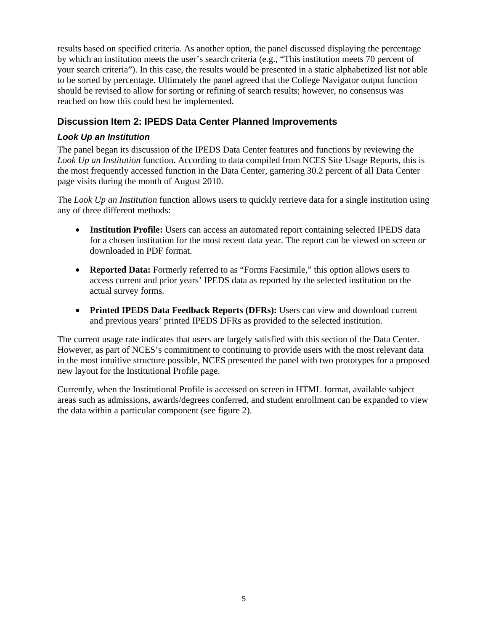results based on specified criteria. As another option, the panel discussed displaying the percentage by which an institution meets the user's search criteria (e.g., "This institution meets 70 percent of your search criteria"). In this case, the results would be presented in a static alphabetized list not able to be sorted by percentage. Ultimately the panel agreed that the College Navigator output function should be revised to allow for sorting or refining of search results; however, no consensus was reached on how this could best be implemented.

# **Discussion Item 2: IPEDS Data Center Planned Improvements**

### *Look Up an Institution*

The panel began its discussion of the IPEDS Data Center features and functions by reviewing the *Look Up an Institution* function. According to data compiled from NCES Site Usage Reports, this is the most frequently accessed function in the Data Center, garnering 30.2 percent of all Data Center page visits during the month of August 2010.

The *Look Up an Institution* function allows users to quickly retrieve data for a single institution using any of three different methods:

- **Institution Profile:** Users can access an automated report containing selected IPEDS data for a chosen institution for the most recent data year. The report can be viewed on screen or downloaded in PDF format.
- **Reported Data:** Formerly referred to as "Forms Facsimile," this option allows users to access current and prior years' IPEDS data as reported by the selected institution on the actual survey forms.
- **Printed IPEDS Data Feedback Reports (DFRs):** Users can view and download current and previous years' printed IPEDS DFRs as provided to the selected institution.

The current usage rate indicates that users are largely satisfied with this section of the Data Center. However, as part of NCES's commitment to continuing to provide users with the most relevant data in the most intuitive structure possible, NCES presented the panel with two prototypes for a proposed new layout for the Institutional Profile page.

Currently, when the Institutional Profile is accessed on screen in HTML format, available subject areas such as admissions, awards/degrees conferred, and student enrollment can be expanded to view the data within a particular component (see figure 2).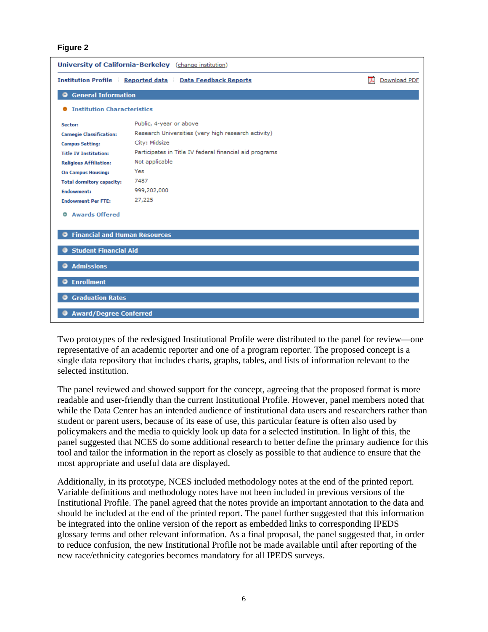#### **Figure 2**

| <b>University of California-Berkeley</b> (change institution)  |                                                         |                   |  |  |
|----------------------------------------------------------------|---------------------------------------------------------|-------------------|--|--|
| <b>Institution Profile Reported data Data Feedback Reports</b> |                                                         | 고<br>Download PDF |  |  |
| <b>General Information</b>                                     |                                                         |                   |  |  |
| <b>Institution Characteristics</b><br>۰                        |                                                         |                   |  |  |
| Sector:                                                        | Public, 4-year or above                                 |                   |  |  |
| <b>Carnegie Classification:</b>                                | Research Universities (very high research activity)     |                   |  |  |
| <b>Campus Setting:</b>                                         | City: Midsize                                           |                   |  |  |
| <b>Title IV Institution:</b>                                   | Participates in Title IV federal financial aid programs |                   |  |  |
| <b>Religious Affiliation:</b>                                  | Not applicable                                          |                   |  |  |
| <b>On Campus Housing:</b>                                      | Yes                                                     |                   |  |  |
| <b>Total dormitory capacity:</b>                               | 7487                                                    |                   |  |  |
| <b>Endowment:</b>                                              | 999,202,000                                             |                   |  |  |
| <b>Endowment Per FTE:</b>                                      | 27,225                                                  |                   |  |  |
| <b>Awards Offered</b><br>٠                                     |                                                         |                   |  |  |
| <b>Financial and Human Resources</b><br>Θ                      |                                                         |                   |  |  |
| <b>Student Financial Aid</b>                                   |                                                         |                   |  |  |
| <b>Admissions</b><br>Θ                                         |                                                         |                   |  |  |
| <b>Enrollment</b><br>o                                         |                                                         |                   |  |  |
| <b>Graduation Rates</b><br>0                                   |                                                         |                   |  |  |
| <b>Award/Degree Conferred</b>                                  |                                                         |                   |  |  |

Two prototypes of the redesigned Institutional Profile were distributed to the panel for review—one representative of an academic reporter and one of a program reporter. The proposed concept is a single data repository that includes charts, graphs, tables, and lists of information relevant to the selected institution.

The panel reviewed and showed support for the concept, agreeing that the proposed format is more readable and user-friendly than the current Institutional Profile. However, panel members noted that while the Data Center has an intended audience of institutional data users and researchers rather than student or parent users, because of its ease of use, this particular feature is often also used by policymakers and the media to quickly look up data for a selected institution. In light of this, the panel suggested that NCES do some additional research to better define the primary audience for this tool and tailor the information in the report as closely as possible to that audience to ensure that the most appropriate and useful data are displayed.

Additionally, in its prototype, NCES included methodology notes at the end of the printed report. Variable definitions and methodology notes have not been included in previous versions of the Institutional Profile. The panel agreed that the notes provide an important annotation to the data and should be included at the end of the printed report. The panel further suggested that this information be integrated into the online version of the report as embedded links to corresponding IPEDS glossary terms and other relevant information. As a final proposal, the panel suggested that, in order to reduce confusion, the new Institutional Profile not be made available until after reporting of the new race/ethnicity categories becomes mandatory for all IPEDS surveys.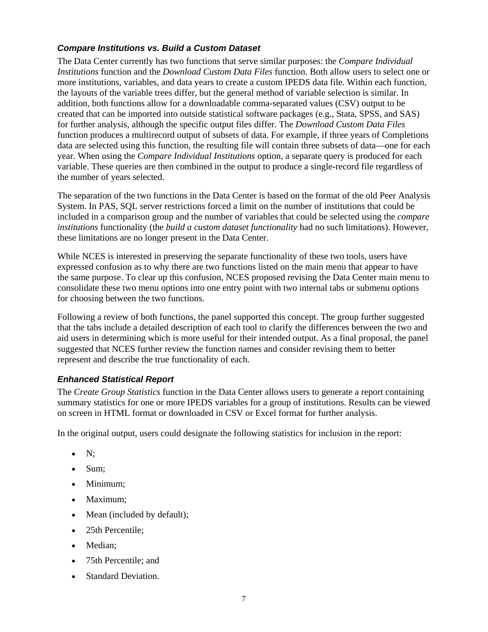### *Compare Institutions vs. Build a Custom Dataset*

The Data Center currently has two functions that serve similar purposes: the *Compare Individual Institutions* function and the *Download Custom Data Files* function. Both allow users to select one or more institutions, variables, and data years to create a custom IPEDS data file. Within each function, the layouts of the variable trees differ, but the general method of variable selection is similar. In addition, both functions allow for a downloadable comma-separated values (CSV) output to be created that can be imported into outside statistical software packages (e.g., Stata, SPSS, and SAS) for further analysis, although the specific output files differ. The *Download Custom Data Files* function produces a multirecord output of subsets of data. For example, if three years of Completions data are selected using this function, the resulting file will contain three subsets of data—one for each year. When using the *Compare Individual Institutions* option, a separate query is produced for each variable. These queries are then combined in the output to produce a single-record file regardless of the number of years selected.

The separation of the two functions in the Data Center is based on the format of the old Peer Analysis System. In PAS, SQL server restrictions forced a limit on the number of institutions that could be included in a comparison group and the number of variables that could be selected using the *compare institutions* functionality (the *build a custom dataset functionality* had no such limitations). However, these limitations are no longer present in the Data Center.

While NCES is interested in preserving the separate functionality of these two tools, users have expressed confusion as to why there are two functions listed on the main menu that appear to have the same purpose. To clear up this confusion, NCES proposed revising the Data Center main menu to consolidate these two menu options into one entry point with two internal tabs or submenu options for choosing between the two functions.

Following a review of both functions, the panel supported this concept. The group further suggested that the tabs include a detailed description of each tool to clarify the differences between the two and aid users in determining which is more useful for their intended output. As a final proposal, the panel suggested that NCES further review the function names and consider revising them to better represent and describe the true functionality of each.

### *Enhanced Statistical Report*

The *Create Group Statistics* function in the Data Center allows users to generate a report containing summary statistics for one or more IPEDS variables for a group of institutions. Results can be viewed on screen in HTML format or downloaded in CSV or Excel format for further analysis.

In the original output, users could designate the following statistics for inclusion in the report:

- $\bullet$  N:
- Sum;
- Minimum:
- Maximum:
- Mean (included by default);
- 25th Percentile;
- Median:
- 75th Percentile: and
- Standard Deviation.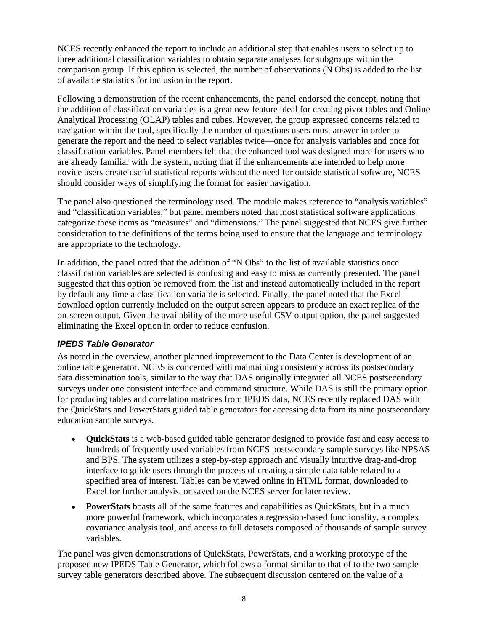NCES recently enhanced the report to include an additional step that enables users to select up to three additional classification variables to obtain separate analyses for subgroups within the comparison group. If this option is selected, the number of observations (N Obs) is added to the list of available statistics for inclusion in the report.

Following a demonstration of the recent enhancements, the panel endorsed the concept, noting that the addition of classification variables is a great new feature ideal for creating pivot tables and Online Analytical Processing (OLAP) tables and cubes. However, the group expressed concerns related to navigation within the tool, specifically the number of questions users must answer in order to generate the report and the need to select variables twice—once for analysis variables and once for classification variables. Panel members felt that the enhanced tool was designed more for users who are already familiar with the system, noting that if the enhancements are intended to help more novice users create useful statistical reports without the need for outside statistical software, NCES should consider ways of simplifying the format for easier navigation.

The panel also questioned the terminology used. The module makes reference to "analysis variables" and "classification variables," but panel members noted that most statistical software applications categorize these items as "measures" and "dimensions." The panel suggested that NCES give further consideration to the definitions of the terms being used to ensure that the language and terminology are appropriate to the technology.

In addition, the panel noted that the addition of "N Obs" to the list of available statistics once classification variables are selected is confusing and easy to miss as currently presented. The panel suggested that this option be removed from the list and instead automatically included in the report by default any time a classification variable is selected. Finally, the panel noted that the Excel download option currently included on the output screen appears to produce an exact replica of the on-screen output. Given the availability of the more useful CSV output option, the panel suggested eliminating the Excel option in order to reduce confusion.

### *IPEDS Table Generator*

As noted in the overview, another planned improvement to the Data Center is development of an online table generator. NCES is concerned with maintaining consistency across its postsecondary data dissemination tools, similar to the way that DAS originally integrated all NCES postsecondary surveys under one consistent interface and command structure. While DAS is still the primary option for producing tables and correlation matrices from IPEDS data, NCES recently replaced DAS with the QuickStats and PowerStats guided table generators for accessing data from its nine postsecondary education sample surveys.

- **QuickStats** is a web-based guided table generator designed to provide fast and easy access to hundreds of frequently used variables from NCES postsecondary sample surveys like NPSAS and BPS. The system utilizes a step-by-step approach and visually intuitive drag-and-drop interface to guide users through the process of creating a simple data table related to a specified area of interest. Tables can be viewed online in HTML format, downloaded to Excel for further analysis, or saved on the NCES server for later review.
- **PowerStats** boasts all of the same features and capabilities as QuickStats, but in a much more powerful framework, which incorporates a regression-based functionality, a complex covariance analysis tool, and access to full datasets composed of thousands of sample survey variables.

The panel was given demonstrations of QuickStats, PowerStats, and a working prototype of the proposed new IPEDS Table Generator, which follows a format similar to that of to the two sample survey table generators described above. The subsequent discussion centered on the value of a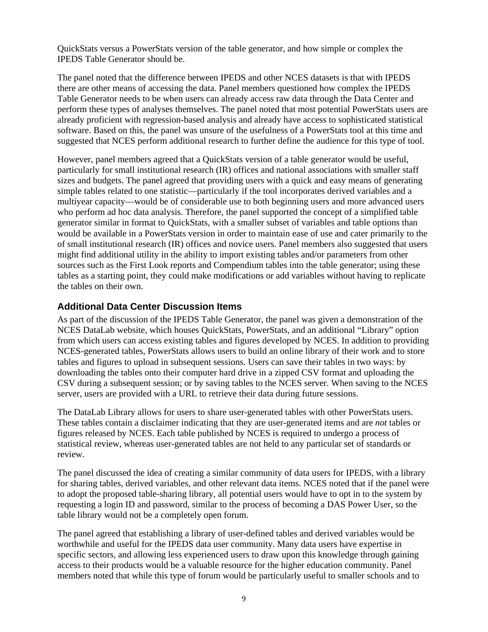QuickStats versus a PowerStats version of the table generator, and how simple or complex the IPEDS Table Generator should be.

The panel noted that the difference between IPEDS and other NCES datasets is that with IPEDS there are other means of accessing the data. Panel members questioned how complex the IPEDS Table Generator needs to be when users can already access raw data through the Data Center and perform these types of analyses themselves. The panel noted that most potential PowerStats users are already proficient with regression-based analysis and already have access to sophisticated statistical software. Based on this, the panel was unsure of the usefulness of a PowerStats tool at this time and suggested that NCES perform additional research to further define the audience for this type of tool.

However, panel members agreed that a QuickStats version of a table generator would be useful, particularly for small institutional research (IR) offices and national associations with smaller staff sizes and budgets. The panel agreed that providing users with a quick and easy means of generating simple tables related to one statistic—particularly if the tool incorporates derived variables and a multiyear capacity—would be of considerable use to both beginning users and more advanced users who perform ad hoc data analysis. Therefore, the panel supported the concept of a simplified table generator similar in format to QuickStats, with a smaller subset of variables and table options than would be available in a PowerStats version in order to maintain ease of use and cater primarily to the of small institutional research (IR) offices and novice users. Panel members also suggested that users might find additional utility in the ability to import existing tables and/or parameters from other sources such as the First Look reports and Compendium tables into the table generator; using these tables as a starting point, they could make modifications or add variables without having to replicate the tables on their own.

#### **Additional Data Center Discussion Items**

As part of the discussion of the IPEDS Table Generator, the panel was given a demonstration of the NCES DataLab website, which houses QuickStats, PowerStats, and an additional "Library" option from which users can access existing tables and figures developed by NCES. In addition to providing NCES-generated tables, PowerStats allows users to build an online library of their work and to store tables and figures to upload in subsequent sessions. Users can save their tables in two ways: by downloading the tables onto their computer hard drive in a zipped CSV format and uploading the CSV during a subsequent session; or by saving tables to the NCES server. When saving to the NCES server, users are provided with a URL to retrieve their data during future sessions.

The DataLab Library allows for users to share user-generated tables with other PowerStats users. These tables contain a disclaimer indicating that they are user-generated items and are *not* tables or figures released by NCES. Each table published by NCES is required to undergo a process of statistical review, whereas user-generated tables are not held to any particular set of standards or review.

The panel discussed the idea of creating a similar community of data users for IPEDS, with a library for sharing tables, derived variables, and other relevant data items. NCES noted that if the panel were to adopt the proposed table-sharing library, all potential users would have to opt in to the system by requesting a login ID and password, similar to the process of becoming a DAS Power User, so the table library would not be a completely open forum.

The panel agreed that establishing a library of user-defined tables and derived variables would be worthwhile and useful for the IPEDS data user community. Many data users have expertise in specific sectors, and allowing less experienced users to draw upon this knowledge through gaining access to their products would be a valuable resource for the higher education community. Panel members noted that while this type of forum would be particularly useful to smaller schools and to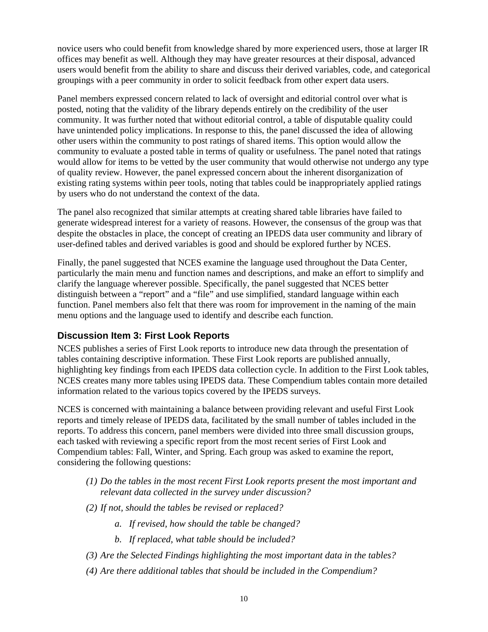novice users who could benefit from knowledge shared by more experienced users, those at larger IR offices may benefit as well. Although they may have greater resources at their disposal, advanced users would benefit from the ability to share and discuss their derived variables, code, and categorical groupings with a peer community in order to solicit feedback from other expert data users.

Panel members expressed concern related to lack of oversight and editorial control over what is posted, noting that the validity of the library depends entirely on the credibility of the user community. It was further noted that without editorial control, a table of disputable quality could have unintended policy implications. In response to this, the panel discussed the idea of allowing other users within the community to post ratings of shared items. This option would allow the community to evaluate a posted table in terms of quality or usefulness. The panel noted that ratings would allow for items to be vetted by the user community that would otherwise not undergo any type of quality review. However, the panel expressed concern about the inherent disorganization of existing rating systems within peer tools, noting that tables could be inappropriately applied ratings by users who do not understand the context of the data.

The panel also recognized that similar attempts at creating shared table libraries have failed to generate widespread interest for a variety of reasons. However, the consensus of the group was that despite the obstacles in place, the concept of creating an IPEDS data user community and library of user-defined tables and derived variables is good and should be explored further by NCES.

Finally, the panel suggested that NCES examine the language used throughout the Data Center, particularly the main menu and function names and descriptions, and make an effort to simplify and clarify the language wherever possible. Specifically, the panel suggested that NCES better distinguish between a "report" and a "file" and use simplified, standard language within each function. Panel members also felt that there was room for improvement in the naming of the main menu options and the language used to identify and describe each function.

# **Discussion Item 3: First Look Reports**

NCES publishes a series of First Look reports to introduce new data through the presentation of tables containing descriptive information. These First Look reports are published annually, highlighting key findings from each IPEDS data collection cycle. In addition to the First Look tables, NCES creates many more tables using IPEDS data. These Compendium tables contain more detailed information related to the various topics covered by the IPEDS surveys.

NCES is concerned with maintaining a balance between providing relevant and useful First Look reports and timely release of IPEDS data, facilitated by the small number of tables included in the reports. To address this concern, panel members were divided into three small discussion groups, each tasked with reviewing a specific report from the most recent series of First Look and Compendium tables: Fall, Winter, and Spring. Each group was asked to examine the report, considering the following questions:

- *(1) Do the tables in the most recent First Look reports present the most important and relevant data collected in the survey under discussion?*
- *(2) If not, should the tables be revised or replaced?* 
	- *a. If revised, how should the table be changed?*
	- *b. If replaced, what table should be included?*
- *(3) Are the Selected Findings highlighting the most important data in the tables?*
- *(4) Are there additional tables that should be included in the Compendium?*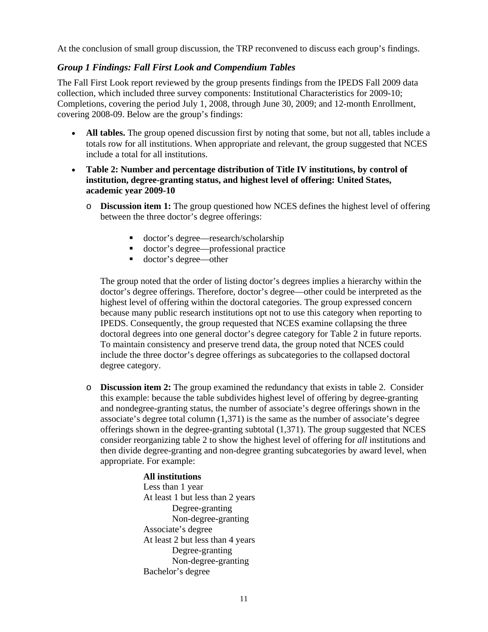At the conclusion of small group discussion, the TRP reconvened to discuss each group's findings.

#### *Group 1 Findings: Fall First Look and Compendium Tables*

The Fall First Look report reviewed by the group presents findings from the IPEDS Fall 2009 data collection, which included three survey components: Institutional Characteristics for 2009-10; Completions, covering the period July 1, 2008, through June 30, 2009; and 12-month Enrollment, covering 2008-09. Below are the group's findings:

- All tables. The group opened discussion first by noting that some, but not all, tables include a totals row for all institutions. When appropriate and relevant, the group suggested that NCES include a total for all institutions.
- **Table 2: Number and percentage distribution of Title IV institutions, by control of institution, degree-granting status, and highest level of offering: United States, academic year 2009-10**
	- o **Discussion item 1:** The group questioned how NCES defines the highest level of offering between the three doctor's degree offerings:
		- doctor's degree—research/scholarship
		- doctor's degree—professional practice
		- doctor's degree—other

The group noted that the order of listing doctor's degrees implies a hierarchy within the doctor's degree offerings. Therefore, doctor's degree—other could be interpreted as the highest level of offering within the doctoral categories. The group expressed concern because many public research institutions opt not to use this category when reporting to IPEDS. Consequently, the group requested that NCES examine collapsing the three doctoral degrees into one general doctor's degree category for Table 2 in future reports. To maintain consistency and preserve trend data, the group noted that NCES could include the three doctor's degree offerings as subcategories to the collapsed doctoral degree category.

o **Discussion item 2:** The group examined the redundancy that exists in table 2. Consider this example: because the table subdivides highest level of offering by degree-granting and nondegree-granting status, the number of associate's degree offerings shown in the associate's degree total column (1,371) is the same as the number of associate's degree offerings shown in the degree-granting subtotal (1,371). The group suggested that NCES consider reorganizing table 2 to show the highest level of offering for *all* institutions and then divide degree-granting and non-degree granting subcategories by award level, when appropriate. For example:

#### **All institutions**

Less than 1 year At least 1 but less than 2 years Degree-granting Non-degree-granting Associate's degree At least 2 but less than 4 years Degree-granting Non-degree-granting Bachelor's degree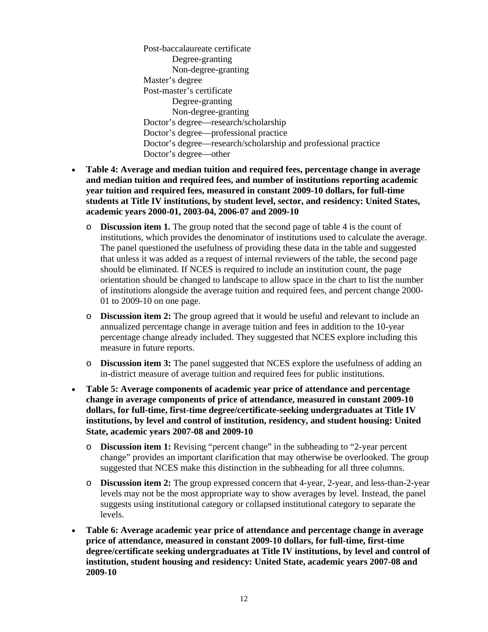Post-baccalaureate certificate Degree-granting Non-degree-granting Master's degree Post-master's certificate Degree-granting Non-degree-granting Doctor's degree—research/scholarship Doctor's degree—professional practice Doctor's degree—research/scholarship and professional practice Doctor's degree—other

- **Table 4: Average and median tuition and required fees, percentage change in average and median tuition and required fees, and number of institutions reporting academic year tuition and required fees, measured in constant 2009-10 dollars, for full-time students at Title IV institutions, by student level, sector, and residency: United States, academic years 2000-01, 2003-04, 2006-07 and 2009-10** 
	- o **Discussion item 1.** The group noted that the second page of table 4 is the count of institutions, which provides the denominator of institutions used to calculate the average. The panel questioned the usefulness of providing these data in the table and suggested that unless it was added as a request of internal reviewers of the table, the second page should be eliminated. If NCES is required to include an institution count, the page orientation should be changed to landscape to allow space in the chart to list the number of institutions alongside the average tuition and required fees, and percent change 2000- 01 to 2009-10 on one page.
	- o **Discussion item 2:** The group agreed that it would be useful and relevant to include an annualized percentage change in average tuition and fees in addition to the 10-year percentage change already included. They suggested that NCES explore including this measure in future reports.
	- o **Discussion item 3:** The panel suggested that NCES explore the usefulness of adding an in-district measure of average tuition and required fees for public institutions.
- **Table 5: Average components of academic year price of attendance and percentage change in average components of price of attendance, measured in constant 2009-10 dollars, for full-time, first-time degree/certificate-seeking undergraduates at Title IV institutions, by level and control of institution, residency, and student housing: United State, academic years 2007-08 and 2009-10** 
	- o **Discussion item 1:** Revising "percent change" in the subheading to "2-year percent change" provides an important clarification that may otherwise be overlooked. The group suggested that NCES make this distinction in the subheading for all three columns.
	- o **Discussion item 2:** The group expressed concern that 4-year, 2-year, and less-than-2-year levels may not be the most appropriate way to show averages by level. Instead, the panel suggests using institutional category or collapsed institutional category to separate the levels.
- **Table 6: Average academic year price of attendance and percentage change in average price of attendance, measured in constant 2009-10 dollars, for full-time, first-time degree/certificate seeking undergraduates at Title IV institutions, by level and control of institution, student housing and residency: United State, academic years 2007-08 and 2009-10**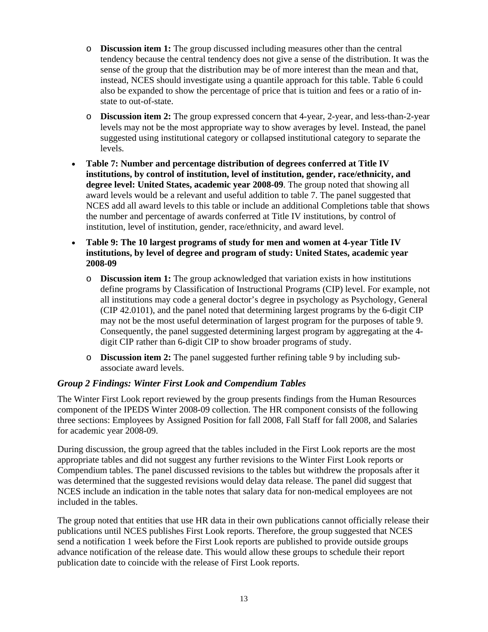- o **Discussion item 1:** The group discussed including measures other than the central tendency because the central tendency does not give a sense of the distribution. It was the sense of the group that the distribution may be of more interest than the mean and that, instead, NCES should investigate using a quantile approach for this table. Table 6 could also be expanded to show the percentage of price that is tuition and fees or a ratio of instate to out-of-state.
- o **Discussion item 2:** The group expressed concern that 4-year, 2-year, and less-than-2-year levels may not be the most appropriate way to show averages by level. Instead, the panel suggested using institutional category or collapsed institutional category to separate the levels.
- **Table 7: Number and percentage distribution of degrees conferred at Title IV institutions, by control of institution, level of institution, gender, race/ethnicity, and degree level: United States, academic year 2008-09**. The group noted that showing all award levels would be a relevant and useful addition to table 7. The panel suggested that NCES add all award levels to this table or include an additional Completions table that shows the number and percentage of awards conferred at Title IV institutions, by control of institution, level of institution, gender, race/ethnicity, and award level.
- **Table 9: The 10 largest programs of study for men and women at 4-year Title IV institutions, by level of degree and program of study: United States, academic year 2008-09**
	- o **Discussion item 1:** The group acknowledged that variation exists in how institutions define programs by Classification of Instructional Programs (CIP) level. For example, not all institutions may code a general doctor's degree in psychology as Psychology, General (CIP 42.0101), and the panel noted that determining largest programs by the 6-digit CIP may not be the most useful determination of largest program for the purposes of table 9. Consequently, the panel suggested determining largest program by aggregating at the 4 digit CIP rather than 6-digit CIP to show broader programs of study.
	- o **Discussion item 2:** The panel suggested further refining table 9 by including subassociate award levels.

### *Group 2 Findings: Winter First Look and Compendium Tables*

The Winter First Look report reviewed by the group presents findings from the Human Resources component of the IPEDS Winter 2008-09 collection. The HR component consists of the following three sections: Employees by Assigned Position for fall 2008, Fall Staff for fall 2008, and Salaries for academic year 2008-09.

During discussion, the group agreed that the tables included in the First Look reports are the most appropriate tables and did not suggest any further revisions to the Winter First Look reports or Compendium tables. The panel discussed revisions to the tables but withdrew the proposals after it was determined that the suggested revisions would delay data release. The panel did suggest that NCES include an indication in the table notes that salary data for non-medical employees are not included in the tables.

The group noted that entities that use HR data in their own publications cannot officially release their publications until NCES publishes First Look reports. Therefore, the group suggested that NCES send a notification 1 week before the First Look reports are published to provide outside groups advance notification of the release date. This would allow these groups to schedule their report publication date to coincide with the release of First Look reports.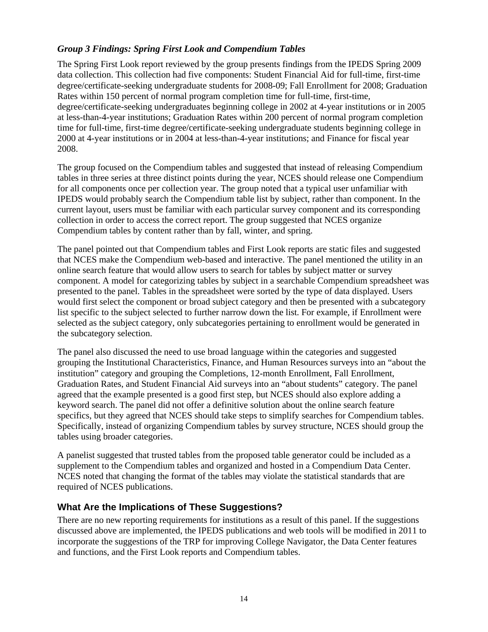#### *Group 3 Findings: Spring First Look and Compendium Tables*

The Spring First Look report reviewed by the group presents findings from the IPEDS Spring 2009 data collection. This collection had five components: Student Financial Aid for full-time, first-time degree/certificate-seeking undergraduate students for 2008-09; Fall Enrollment for 2008; Graduation Rates within 150 percent of normal program completion time for full-time, first-time, degree/certificate-seeking undergraduates beginning college in 2002 at 4-year institutions or in 2005 at less-than-4-year institutions; Graduation Rates within 200 percent of normal program completion time for full-time, first-time degree/certificate-seeking undergraduate students beginning college in 2000 at 4-year institutions or in 2004 at less-than-4-year institutions; and Finance for fiscal year 2008.

The group focused on the Compendium tables and suggested that instead of releasing Compendium tables in three series at three distinct points during the year, NCES should release one Compendium for all components once per collection year. The group noted that a typical user unfamiliar with IPEDS would probably search the Compendium table list by subject, rather than component. In the current layout, users must be familiar with each particular survey component and its corresponding collection in order to access the correct report. The group suggested that NCES organize Compendium tables by content rather than by fall, winter, and spring.

The panel pointed out that Compendium tables and First Look reports are static files and suggested that NCES make the Compendium web-based and interactive. The panel mentioned the utility in an online search feature that would allow users to search for tables by subject matter or survey component. A model for categorizing tables by subject in a searchable Compendium spreadsheet was presented to the panel. Tables in the spreadsheet were sorted by the type of data displayed. Users would first select the component or broad subject category and then be presented with a subcategory list specific to the subject selected to further narrow down the list. For example, if Enrollment were selected as the subject category, only subcategories pertaining to enrollment would be generated in the subcategory selection.

The panel also discussed the need to use broad language within the categories and suggested grouping the Institutional Characteristics, Finance, and Human Resources surveys into an "about the institution" category and grouping the Completions, 12-month Enrollment, Fall Enrollment, Graduation Rates, and Student Financial Aid surveys into an "about students" category. The panel agreed that the example presented is a good first step, but NCES should also explore adding a keyword search. The panel did not offer a definitive solution about the online search feature specifics, but they agreed that NCES should take steps to simplify searches for Compendium tables. Specifically, instead of organizing Compendium tables by survey structure, NCES should group the tables using broader categories.

A panelist suggested that trusted tables from the proposed table generator could be included as a supplement to the Compendium tables and organized and hosted in a Compendium Data Center. NCES noted that changing the format of the tables may violate the statistical standards that are required of NCES publications.

### **What Are the Implications of These Suggestions?**

There are no new reporting requirements for institutions as a result of this panel. If the suggestions discussed above are implemented, the IPEDS publications and web tools will be modified in 2011 to incorporate the suggestions of the TRP for improving College Navigator, the Data Center features and functions, and the First Look reports and Compendium tables.